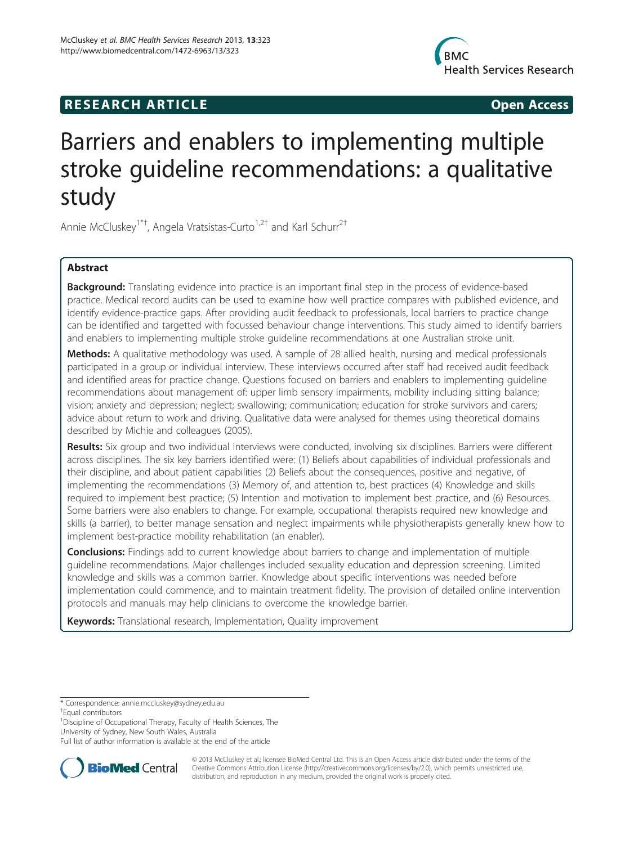# **RESEARCH ARTICLE CONSUMING A RESEARCH ARTICLE**



# Barriers and enablers to implementing multiple stroke guideline recommendations: a qualitative study

Annie McCluskey<sup>1\*†</sup>, Angela Vratsistas-Curto<sup>1,2†</sup> and Karl Schurr<sup>2†</sup>

# Abstract

Background: Translating evidence into practice is an important final step in the process of evidence-based practice. Medical record audits can be used to examine how well practice compares with published evidence, and identify evidence-practice gaps. After providing audit feedback to professionals, local barriers to practice change can be identified and targetted with focussed behaviour change interventions. This study aimed to identify barriers and enablers to implementing multiple stroke guideline recommendations at one Australian stroke unit.

Methods: A qualitative methodology was used. A sample of 28 allied health, nursing and medical professionals participated in a group or individual interview. These interviews occurred after staff had received audit feedback and identified areas for practice change. Questions focused on barriers and enablers to implementing guideline recommendations about management of: upper limb sensory impairments, mobility including sitting balance; vision; anxiety and depression; neglect; swallowing; communication; education for stroke survivors and carers; advice about return to work and driving. Qualitative data were analysed for themes using theoretical domains described by Michie and colleagues (2005).

Results: Six group and two individual interviews were conducted, involving six disciplines. Barriers were different across disciplines. The six key barriers identified were: (1) Beliefs about capabilities of individual professionals and their discipline, and about patient capabilities (2) Beliefs about the consequences, positive and negative, of implementing the recommendations (3) Memory of, and attention to, best practices (4) Knowledge and skills required to implement best practice; (5) Intention and motivation to implement best practice, and (6) Resources. Some barriers were also enablers to change. For example, occupational therapists required new knowledge and skills (a barrier), to better manage sensation and neglect impairments while physiotherapists generally knew how to implement best-practice mobility rehabilitation (an enabler).

**Conclusions:** Findings add to current knowledge about barriers to change and implementation of multiple guideline recommendations. Major challenges included sexuality education and depression screening. Limited knowledge and skills was a common barrier. Knowledge about specific interventions was needed before implementation could commence, and to maintain treatment fidelity. The provision of detailed online intervention protocols and manuals may help clinicians to overcome the knowledge barrier.

Keywords: Translational research, Implementation, Quality improvement

<sup>1</sup> Discipline of Occupational Therapy, Faculty of Health Sciences, The University of Sydney, New South Wales, Australia

Full list of author information is available at the end of the article



© 2013 McCluskey et al.; licensee BioMed Central Ltd. This is an Open Access article distributed under the terms of the Creative Commons Attribution License (<http://creativecommons.org/licenses/by/2.0>), which permits unrestricted use, distribution, and reproduction in any medium, provided the original work is properly cited.

<sup>\*</sup> Correspondence: [annie.mccluskey@sydney.edu.au](mailto:annie.mccluskey@sydney.edu.au) †

Equal contributors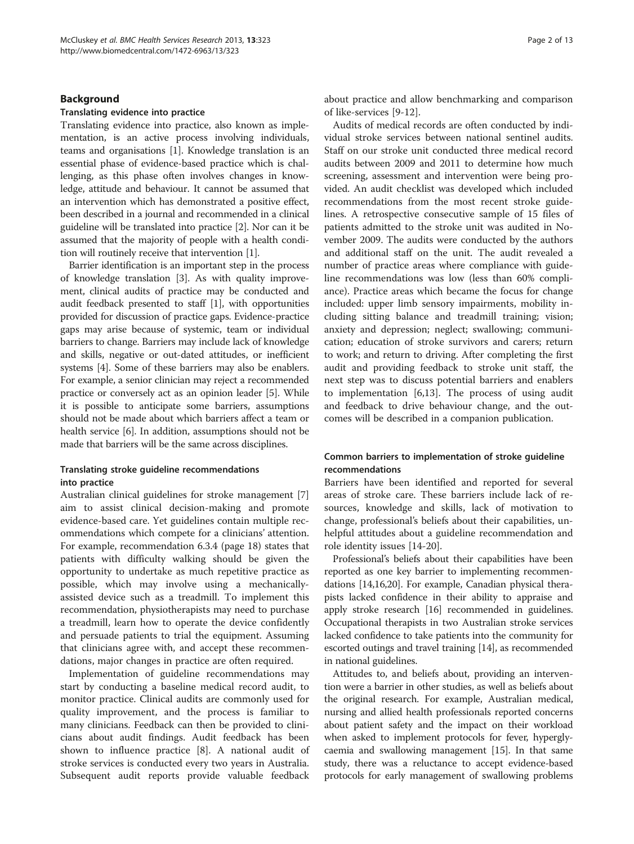#### Background

#### Translating evidence into practice

Translating evidence into practice, also known as implementation, is an active process involving individuals, teams and organisations [\[1](#page-12-0)]. Knowledge translation is an essential phase of evidence-based practice which is challenging, as this phase often involves changes in knowledge, attitude and behaviour. It cannot be assumed that an intervention which has demonstrated a positive effect, been described in a journal and recommended in a clinical guideline will be translated into practice [\[2\]](#page-12-0). Nor can it be assumed that the majority of people with a health condition will routinely receive that intervention [\[1\]](#page-12-0).

Barrier identification is an important step in the process of knowledge translation [\[3](#page-12-0)]. As with quality improvement, clinical audits of practice may be conducted and audit feedback presented to staff [[1](#page-12-0)], with opportunities provided for discussion of practice gaps. Evidence-practice gaps may arise because of systemic, team or individual barriers to change. Barriers may include lack of knowledge and skills, negative or out-dated attitudes, or inefficient systems [\[4](#page-12-0)]. Some of these barriers may also be enablers. For example, a senior clinician may reject a recommended practice or conversely act as an opinion leader [[5\]](#page-12-0). While it is possible to anticipate some barriers, assumptions should not be made about which barriers affect a team or health service [\[6](#page-12-0)]. In addition, assumptions should not be made that barriers will be the same across disciplines.

#### Translating stroke guideline recommendations into practice

Australian clinical guidelines for stroke management [\[7](#page-12-0)] aim to assist clinical decision-making and promote evidence-based care. Yet guidelines contain multiple recommendations which compete for a clinicians' attention. For example, recommendation 6.3.4 (page 18) states that patients with difficulty walking should be given the opportunity to undertake as much repetitive practice as possible, which may involve using a mechanicallyassisted device such as a treadmill. To implement this recommendation, physiotherapists may need to purchase a treadmill, learn how to operate the device confidently and persuade patients to trial the equipment. Assuming that clinicians agree with, and accept these recommendations, major changes in practice are often required.

Implementation of guideline recommendations may start by conducting a baseline medical record audit, to monitor practice. Clinical audits are commonly used for quality improvement, and the process is familiar to many clinicians. Feedback can then be provided to clinicians about audit findings. Audit feedback has been shown to influence practice [[8\]](#page-12-0). A national audit of stroke services is conducted every two years in Australia. Subsequent audit reports provide valuable feedback about practice and allow benchmarking and comparison of like-services [[9-12\]](#page-12-0).

Audits of medical records are often conducted by individual stroke services between national sentinel audits. Staff on our stroke unit conducted three medical record audits between 2009 and 2011 to determine how much screening, assessment and intervention were being provided. An audit checklist was developed which included recommendations from the most recent stroke guidelines. A retrospective consecutive sample of 15 files of patients admitted to the stroke unit was audited in November 2009. The audits were conducted by the authors and additional staff on the unit. The audit revealed a number of practice areas where compliance with guideline recommendations was low (less than 60% compliance). Practice areas which became the focus for change included: upper limb sensory impairments, mobility including sitting balance and treadmill training; vision; anxiety and depression; neglect; swallowing; communication; education of stroke survivors and carers; return to work; and return to driving. After completing the first audit and providing feedback to stroke unit staff, the next step was to discuss potential barriers and enablers to implementation [[6,13\]](#page-12-0). The process of using audit and feedback to drive behaviour change, and the outcomes will be described in a companion publication.

# Common barriers to implementation of stroke guideline recommendations

Barriers have been identified and reported for several areas of stroke care. These barriers include lack of resources, knowledge and skills, lack of motivation to change, professional's beliefs about their capabilities, unhelpful attitudes about a guideline recommendation and role identity issues [[14-20](#page-12-0)].

Professional's beliefs about their capabilities have been reported as one key barrier to implementing recommendations [\[14,16,20](#page-12-0)]. For example, Canadian physical therapists lacked confidence in their ability to appraise and apply stroke research [[16](#page-12-0)] recommended in guidelines. Occupational therapists in two Australian stroke services lacked confidence to take patients into the community for escorted outings and travel training [\[14](#page-12-0)], as recommended in national guidelines.

Attitudes to, and beliefs about, providing an intervention were a barrier in other studies, as well as beliefs about the original research. For example, Australian medical, nursing and allied health professionals reported concerns about patient safety and the impact on their workload when asked to implement protocols for fever, hyperglycaemia and swallowing management [[15\]](#page-12-0). In that same study, there was a reluctance to accept evidence-based protocols for early management of swallowing problems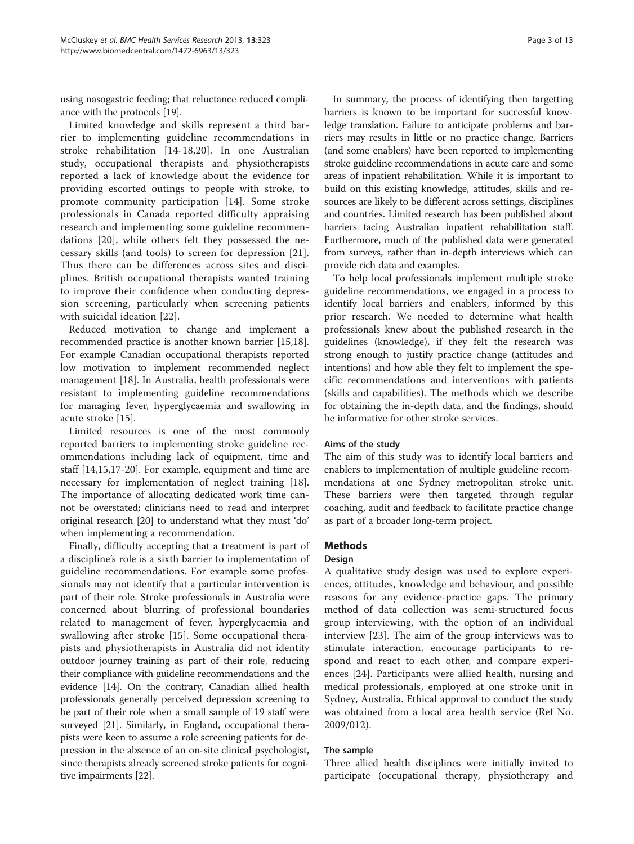using nasogastric feeding; that reluctance reduced compliance with the protocols [\[19\]](#page-12-0).

Limited knowledge and skills represent a third barrier to implementing guideline recommendations in stroke rehabilitation [[14-18,20](#page-12-0)]. In one Australian study, occupational therapists and physiotherapists reported a lack of knowledge about the evidence for providing escorted outings to people with stroke, to promote community participation [[14\]](#page-12-0). Some stroke professionals in Canada reported difficulty appraising research and implementing some guideline recommendations [\[20](#page-12-0)], while others felt they possessed the necessary skills (and tools) to screen for depression [[21](#page-12-0)]. Thus there can be differences across sites and disciplines. British occupational therapists wanted training to improve their confidence when conducting depression screening, particularly when screening patients with suicidal ideation [\[22](#page-12-0)].

Reduced motivation to change and implement a recommended practice is another known barrier [\[15,18](#page-12-0)]. For example Canadian occupational therapists reported low motivation to implement recommended neglect management [\[18](#page-12-0)]. In Australia, health professionals were resistant to implementing guideline recommendations for managing fever, hyperglycaemia and swallowing in acute stroke [\[15](#page-12-0)].

Limited resources is one of the most commonly reported barriers to implementing stroke guideline recommendations including lack of equipment, time and staff [[14,15,17-20](#page-12-0)]. For example, equipment and time are necessary for implementation of neglect training [\[18](#page-12-0)]. The importance of allocating dedicated work time cannot be overstated; clinicians need to read and interpret original research [[20](#page-12-0)] to understand what they must 'do' when implementing a recommendation.

Finally, difficulty accepting that a treatment is part of a discipline's role is a sixth barrier to implementation of guideline recommendations. For example some professionals may not identify that a particular intervention is part of their role. Stroke professionals in Australia were concerned about blurring of professional boundaries related to management of fever, hyperglycaemia and swallowing after stroke [[15](#page-12-0)]. Some occupational therapists and physiotherapists in Australia did not identify outdoor journey training as part of their role, reducing their compliance with guideline recommendations and the evidence [[14](#page-12-0)]. On the contrary, Canadian allied health professionals generally perceived depression screening to be part of their role when a small sample of 19 staff were surveyed [\[21](#page-12-0)]. Similarly, in England, occupational therapists were keen to assume a role screening patients for depression in the absence of an on-site clinical psychologist, since therapists already screened stroke patients for cognitive impairments [\[22\]](#page-12-0).

In summary, the process of identifying then targetting barriers is known to be important for successful knowledge translation. Failure to anticipate problems and barriers may results in little or no practice change. Barriers (and some enablers) have been reported to implementing stroke guideline recommendations in acute care and some areas of inpatient rehabilitation. While it is important to build on this existing knowledge, attitudes, skills and resources are likely to be different across settings, disciplines and countries. Limited research has been published about barriers facing Australian inpatient rehabilitation staff. Furthermore, much of the published data were generated from surveys, rather than in-depth interviews which can provide rich data and examples.

To help local professionals implement multiple stroke guideline recommendations, we engaged in a process to identify local barriers and enablers, informed by this prior research. We needed to determine what health professionals knew about the published research in the guidelines (knowledge), if they felt the research was strong enough to justify practice change (attitudes and intentions) and how able they felt to implement the specific recommendations and interventions with patients (skills and capabilities). The methods which we describe for obtaining the in-depth data, and the findings, should be informative for other stroke services.

#### Aims of the study

The aim of this study was to identify local barriers and enablers to implementation of multiple guideline recommendations at one Sydney metropolitan stroke unit. These barriers were then targeted through regular coaching, audit and feedback to facilitate practice change as part of a broader long-term project.

# Methods

# Design

A qualitative study design was used to explore experiences, attitudes, knowledge and behaviour, and possible reasons for any evidence-practice gaps. The primary method of data collection was semi-structured focus group interviewing, with the option of an individual interview [\[23](#page-12-0)]. The aim of the group interviews was to stimulate interaction, encourage participants to respond and react to each other, and compare experiences [[24\]](#page-12-0). Participants were allied health, nursing and medical professionals, employed at one stroke unit in Sydney, Australia. Ethical approval to conduct the study was obtained from a local area health service (Ref No. 2009/012).

#### The sample

Three allied health disciplines were initially invited to participate (occupational therapy, physiotherapy and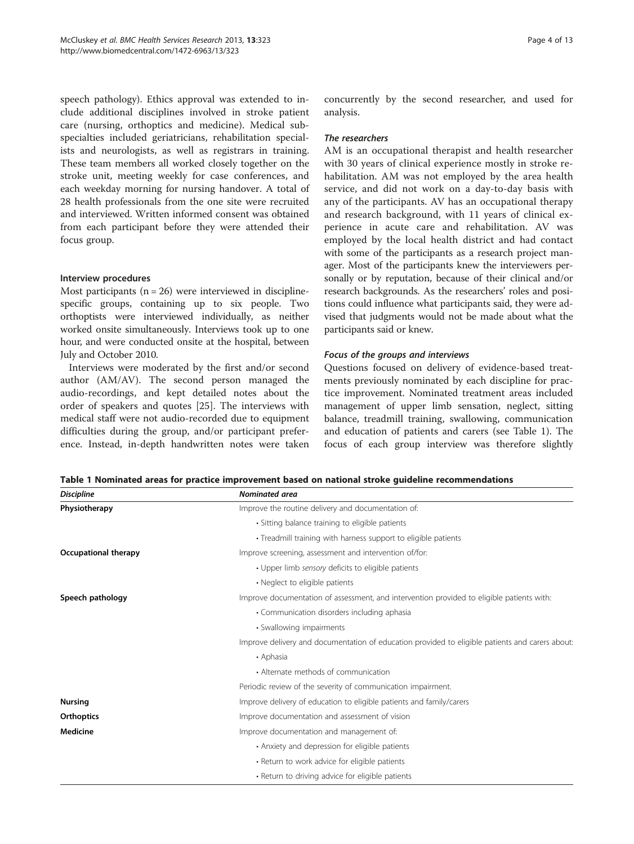speech pathology). Ethics approval was extended to include additional disciplines involved in stroke patient care (nursing, orthoptics and medicine). Medical subspecialties included geriatricians, rehabilitation specialists and neurologists, as well as registrars in training. These team members all worked closely together on the stroke unit, meeting weekly for case conferences, and each weekday morning for nursing handover. A total of 28 health professionals from the one site were recruited and interviewed. Written informed consent was obtained from each participant before they were attended their focus group.

#### Interview procedures

Most participants  $(n = 26)$  were interviewed in disciplinespecific groups, containing up to six people. Two orthoptists were interviewed individually, as neither worked onsite simultaneously. Interviews took up to one hour, and were conducted onsite at the hospital, between July and October 2010.

Interviews were moderated by the first and/or second author (AM/AV). The second person managed the audio-recordings, and kept detailed notes about the order of speakers and quotes [\[25](#page-12-0)]. The interviews with medical staff were not audio-recorded due to equipment difficulties during the group, and/or participant preference. Instead, in-depth handwritten notes were taken

concurrently by the second researcher, and used for analysis.

#### The researchers

AM is an occupational therapist and health researcher with 30 years of clinical experience mostly in stroke rehabilitation. AM was not employed by the area health service, and did not work on a day-to-day basis with any of the participants. AV has an occupational therapy and research background, with 11 years of clinical experience in acute care and rehabilitation. AV was employed by the local health district and had contact with some of the participants as a research project manager. Most of the participants knew the interviewers personally or by reputation, because of their clinical and/or research backgrounds. As the researchers' roles and positions could influence what participants said, they were advised that judgments would not be made about what the participants said or knew.

#### Focus of the groups and interviews

Questions focused on delivery of evidence-based treatments previously nominated by each discipline for practice improvement. Nominated treatment areas included management of upper limb sensation, neglect, sitting balance, treadmill training, swallowing, communication and education of patients and carers (see Table 1). The focus of each group interview was therefore slightly

Table 1 Nominated areas for practice improvement based on national stroke guideline recommendations

| <b>Discipline</b>    | Nominated area                                                                                  |
|----------------------|-------------------------------------------------------------------------------------------------|
| Physiotherapy        | Improve the routine delivery and documentation of:                                              |
|                      | • Sitting balance training to eligible patients                                                 |
|                      | • Treadmill training with harness support to eligible patients                                  |
| Occupational therapy | Improve screening, assessment and intervention of/for:                                          |
|                      | • Upper limb sensory deficits to eligible patients                                              |
|                      | • Neglect to eligible patients                                                                  |
| Speech pathology     | Improve documentation of assessment, and intervention provided to eligible patients with:       |
|                      | • Communication disorders including aphasia                                                     |
|                      | • Swallowing impairments                                                                        |
|                      | Improve delivery and documentation of education provided to eligible patients and carers about: |
|                      | • Aphasia                                                                                       |
|                      | • Alternate methods of communication                                                            |
|                      | Periodic review of the severity of communication impairment.                                    |
| <b>Nursing</b>       | Improve delivery of education to eligible patients and family/carers                            |
| Orthoptics           | Improve documentation and assessment of vision                                                  |
| <b>Medicine</b>      | Improve documentation and management of:                                                        |
|                      | • Anxiety and depression for eligible patients                                                  |
|                      | • Return to work advice for eligible patients                                                   |
|                      | • Return to driving advice for eligible patients                                                |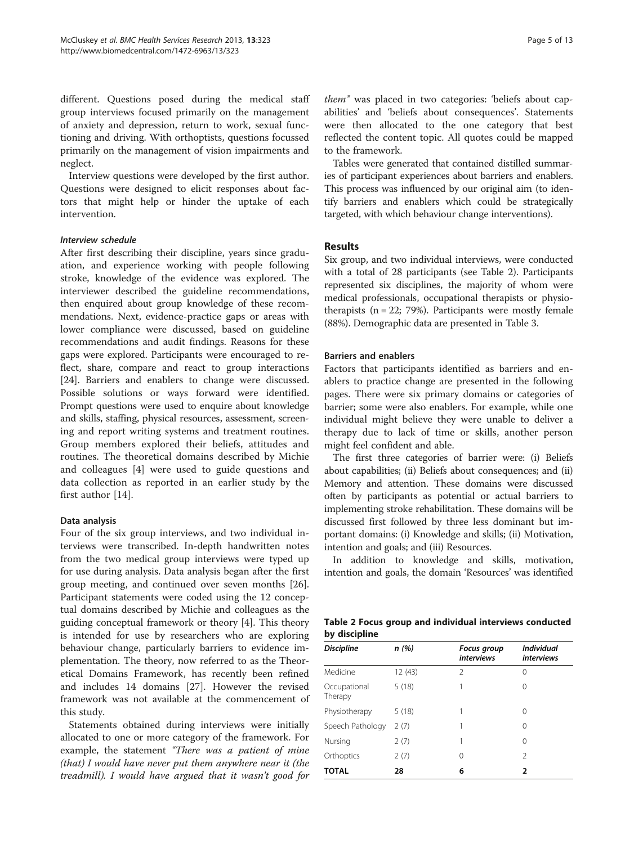different. Questions posed during the medical staff group interviews focused primarily on the management of anxiety and depression, return to work, sexual functioning and driving. With orthoptists, questions focussed primarily on the management of vision impairments and neglect.

Interview questions were developed by the first author. Questions were designed to elicit responses about factors that might help or hinder the uptake of each intervention.

#### Interview schedule

After first describing their discipline, years since graduation, and experience working with people following stroke, knowledge of the evidence was explored. The interviewer described the guideline recommendations, then enquired about group knowledge of these recommendations. Next, evidence-practice gaps or areas with lower compliance were discussed, based on guideline recommendations and audit findings. Reasons for these gaps were explored. Participants were encouraged to reflect, share, compare and react to group interactions [[24\]](#page-12-0). Barriers and enablers to change were discussed. Possible solutions or ways forward were identified. Prompt questions were used to enquire about knowledge and skills, staffing, physical resources, assessment, screening and report writing systems and treatment routines. Group members explored their beliefs, attitudes and routines. The theoretical domains described by Michie and colleagues [[4\]](#page-12-0) were used to guide questions and data collection as reported in an earlier study by the first author [[14\]](#page-12-0).

#### Data analysis

Four of the six group interviews, and two individual interviews were transcribed. In-depth handwritten notes from the two medical group interviews were typed up for use during analysis. Data analysis began after the first group meeting, and continued over seven months [\[26](#page-12-0)]. Participant statements were coded using the 12 conceptual domains described by Michie and colleagues as the guiding conceptual framework or theory [[4\]](#page-12-0). This theory is intended for use by researchers who are exploring behaviour change, particularly barriers to evidence implementation. The theory, now referred to as the Theoretical Domains Framework, has recently been refined and includes 14 domains [\[27](#page-12-0)]. However the revised framework was not available at the commencement of this study.

Statements obtained during interviews were initially allocated to one or more category of the framework. For example, the statement "There was a patient of mine" (that) I would have never put them anywhere near it (the treadmill). I would have argued that it wasn't good for them" was placed in two categories: 'beliefs about capabilities' and 'beliefs about consequences'. Statements were then allocated to the one category that best reflected the content topic. All quotes could be mapped to the framework.

Tables were generated that contained distilled summaries of participant experiences about barriers and enablers. This process was influenced by our original aim (to identify barriers and enablers which could be strategically targeted, with which behaviour change interventions).

#### Results

Six group, and two individual interviews, were conducted with a total of 28 participants (see Table 2). Participants represented six disciplines, the majority of whom were medical professionals, occupational therapists or physiotherapists  $(n = 22; 79%)$ . Participants were mostly female (88%). Demographic data are presented in Table [3](#page-5-0).

#### Barriers and enablers

Factors that participants identified as barriers and enablers to practice change are presented in the following pages. There were six primary domains or categories of barrier; some were also enablers. For example, while one individual might believe they were unable to deliver a therapy due to lack of time or skills, another person might feel confident and able.

The first three categories of barrier were: (i) Beliefs about capabilities; (ii) Beliefs about consequences; and (ii) Memory and attention. These domains were discussed often by participants as potential or actual barriers to implementing stroke rehabilitation. These domains will be discussed first followed by three less dominant but important domains: (i) Knowledge and skills; (ii) Motivation, intention and goals; and (iii) Resources.

In addition to knowledge and skills, motivation, intention and goals, the domain 'Resources' was identified

| Table 2 Focus group and individual interviews conducted |  |  |  |
|---------------------------------------------------------|--|--|--|
| by discipline                                           |  |  |  |

| <b>Discipline</b>       | n(%)    | <b>Focus group</b><br><i>interviews</i> | <b>Individual</b><br><i>interviews</i> |
|-------------------------|---------|-----------------------------------------|----------------------------------------|
| Medicine                | 12 (43) | 2                                       | 0                                      |
| Occupational<br>Therapy | 5(18)   |                                         | 0                                      |
| Physiotherapy           | 5(18)   | 1                                       | 0                                      |
| Speech Pathology        | 2(7)    |                                         | 0                                      |
| Nursing                 | 2(7)    | 1                                       | 0                                      |
| Orthoptics              | 2(7)    | 0                                       | $\mathfrak{D}$                         |
| <b>TOTAL</b>            | 28      | 6                                       | 2                                      |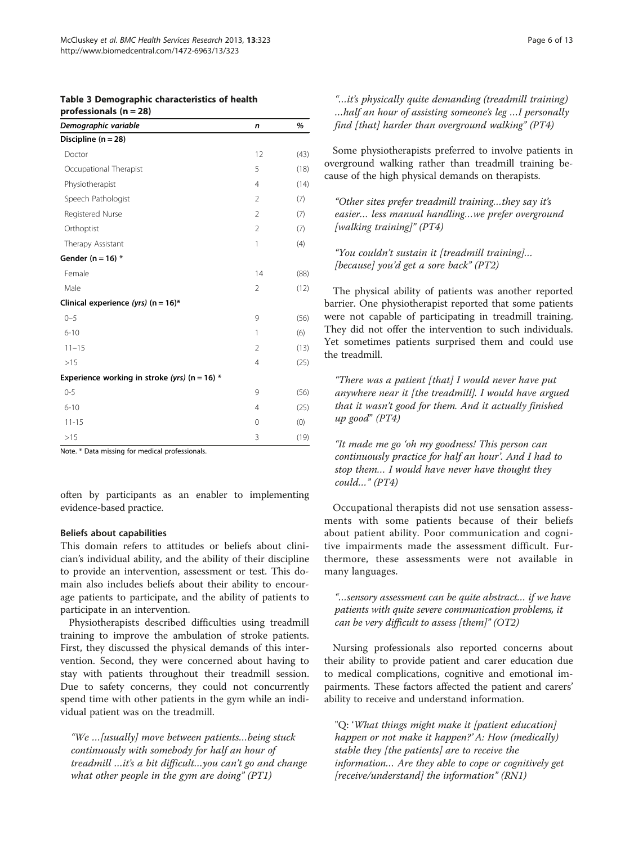<span id="page-5-0"></span>

|                          | Table 3 Demographic characteristics of health |  |
|--------------------------|-----------------------------------------------|--|
| professionals $(n = 28)$ |                                               |  |

| Demographic variable                            | n              | %    |
|-------------------------------------------------|----------------|------|
| Discipline ( $n = 28$ )                         |                |      |
| Doctor                                          | 12             | (43) |
| Occupational Therapist                          | 5              | (18) |
| Physiotherapist                                 | $\overline{4}$ | (14) |
| Speech Pathologist                              | 2              | (7)  |
| Registered Nurse                                | $\overline{2}$ | (7)  |
| Orthoptist                                      | $\overline{2}$ | (7)  |
| Therapy Assistant                               | 1              | (4)  |
| Gender ( $n = 16$ ) *                           |                |      |
| Female                                          | 14             | (88) |
| Male                                            | $\overline{2}$ | (12) |
| Clinical experience (yrs) (n = $16$ )*          |                |      |
| $0 - 5$                                         | 9              | (56) |
| $6 - 10$                                        | 1              | (6)  |
| $11 - 15$                                       | $\overline{2}$ | (13) |
| >15                                             | 4              | (25) |
| Experience working in stroke (yrs) (n = 16) $*$ |                |      |
| $0 - 5$                                         | 9              | (56) |
| $6 - 10$                                        | 4              | (25) |
| $11 - 15$                                       | 0              | (0)  |
| >15                                             | 3              | (19) |

Note. \* Data missing for medical professionals.

often by participants as an enabler to implementing evidence-based practice.

#### Beliefs about capabilities

This domain refers to attitudes or beliefs about clinician's individual ability, and the ability of their discipline to provide an intervention, assessment or test. This domain also includes beliefs about their ability to encourage patients to participate, and the ability of patients to participate in an intervention.

Physiotherapists described difficulties using treadmill training to improve the ambulation of stroke patients. First, they discussed the physical demands of this intervention. Second, they were concerned about having to stay with patients throughout their treadmill session. Due to safety concerns, they could not concurrently spend time with other patients in the gym while an individual patient was on the treadmill.

"We …[usually] move between patients…being stuck continuously with somebody for half an hour of treadmill …it's a bit difficult…you can't go and change what other people in the gym are doing" (PT1)

"…it's physically quite demanding (treadmill training) …half an hour of assisting someone's leg …I personally find [that] harder than overground walking" (PT4)

Some physiotherapists preferred to involve patients in overground walking rather than treadmill training because of the high physical demands on therapists.

"Other sites prefer treadmill training…they say it's easier… less manual handling…we prefer overground [walking training]" (PT4)

"You couldn't sustain it [treadmill training]… [because] you'd get a sore back" (PT2)

The physical ability of patients was another reported barrier. One physiotherapist reported that some patients were not capable of participating in treadmill training. They did not offer the intervention to such individuals. Yet sometimes patients surprised them and could use the treadmill.

"There was a patient [that] I would never have put anywhere near it [the treadmill]. I would have argued that it wasn't good for them. And it actually finished up good" (PT4)

"It made me go 'oh my goodness! This person can continuously practice for half an hour'. And I had to stop them… I would have never have thought they could…" (PT4)

Occupational therapists did not use sensation assessments with some patients because of their beliefs about patient ability. Poor communication and cognitive impairments made the assessment difficult. Furthermore, these assessments were not available in many languages.

"…sensory assessment can be quite abstract… if we have patients with quite severe communication problems, it can be very difficult to assess [them]"  $(OT2)$ 

Nursing professionals also reported concerns about their ability to provide patient and carer education due to medical complications, cognitive and emotional impairments. These factors affected the patient and carers' ability to receive and understand information.

"Q: 'What things might make it [patient education] happen or not make it happen?' A: How (medically) stable they [the patients] are to receive the information… Are they able to cope or cognitively get [receive/understand] the information" (RN1)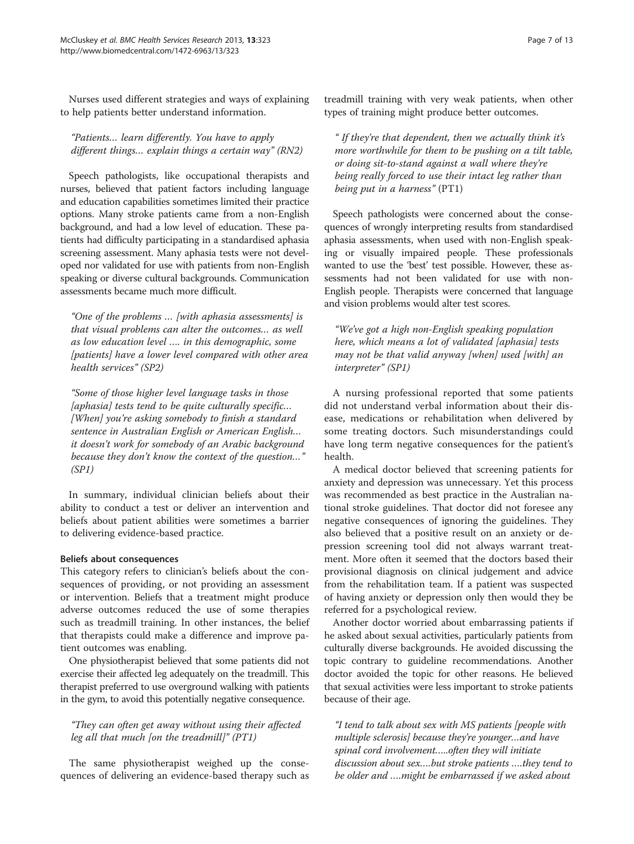Nurses used different strategies and ways of explaining to help patients better understand information.

"Patients… learn differently. You have to apply different things… explain things a certain way" (RN2)

Speech pathologists, like occupational therapists and nurses, believed that patient factors including language and education capabilities sometimes limited their practice options. Many stroke patients came from a non-English background, and had a low level of education. These patients had difficulty participating in a standardised aphasia screening assessment. Many aphasia tests were not developed nor validated for use with patients from non-English speaking or diverse cultural backgrounds. Communication assessments became much more difficult.

"One of the problems … [with aphasia assessments] is that visual problems can alter the outcomes… as well as low education level …. in this demographic, some [patients] have a lower level compared with other area health services" (SP2)

"Some of those higher level language tasks in those [aphasia] tests tend to be quite culturally specific... [When] you're asking somebody to finish a standard sentence in Australian English or American English… it doesn't work for somebody of an Arabic background because they don't know the context of the question…" (SP1)

In summary, individual clinician beliefs about their ability to conduct a test or deliver an intervention and beliefs about patient abilities were sometimes a barrier to delivering evidence-based practice.

#### Beliefs about consequences

This category refers to clinician's beliefs about the consequences of providing, or not providing an assessment or intervention. Beliefs that a treatment might produce adverse outcomes reduced the use of some therapies such as treadmill training. In other instances, the belief that therapists could make a difference and improve patient outcomes was enabling.

One physiotherapist believed that some patients did not exercise their affected leg adequately on the treadmill. This therapist preferred to use overground walking with patients in the gym, to avoid this potentially negative consequence.

# "They can often get away without using their affected leg all that much [on the treadmill]" (PT1)

The same physiotherapist weighed up the consequences of delivering an evidence-based therapy such as treadmill training with very weak patients, when other types of training might produce better outcomes.

" If they're that dependent, then we actually think it's more worthwhile for them to be pushing on a tilt table, or doing sit-to-stand against a wall where they're being really forced to use their intact leg rather than being put in a harness" (PT1)

Speech pathologists were concerned about the consequences of wrongly interpreting results from standardised aphasia assessments, when used with non-English speaking or visually impaired people. These professionals wanted to use the 'best' test possible. However, these assessments had not been validated for use with non-English people. Therapists were concerned that language and vision problems would alter test scores.

"We've got a high non-English speaking population here, which means a lot of validated [aphasia] tests may not be that valid anyway [when] used [with] an interpreter" (SP1)

A nursing professional reported that some patients did not understand verbal information about their disease, medications or rehabilitation when delivered by some treating doctors. Such misunderstandings could have long term negative consequences for the patient's health.

A medical doctor believed that screening patients for anxiety and depression was unnecessary. Yet this process was recommended as best practice in the Australian national stroke guidelines. That doctor did not foresee any negative consequences of ignoring the guidelines. They also believed that a positive result on an anxiety or depression screening tool did not always warrant treatment. More often it seemed that the doctors based their provisional diagnosis on clinical judgement and advice from the rehabilitation team. If a patient was suspected of having anxiety or depression only then would they be referred for a psychological review.

Another doctor worried about embarrassing patients if he asked about sexual activities, particularly patients from culturally diverse backgrounds. He avoided discussing the topic contrary to guideline recommendations. Another doctor avoided the topic for other reasons. He believed that sexual activities were less important to stroke patients because of their age.

"I tend to talk about sex with MS patients [people with multiple sclerosis] because they're younger…and have spinal cord involvement…..often they will initiate discussion about sex….but stroke patients ….they tend to be older and ….might be embarrassed if we asked about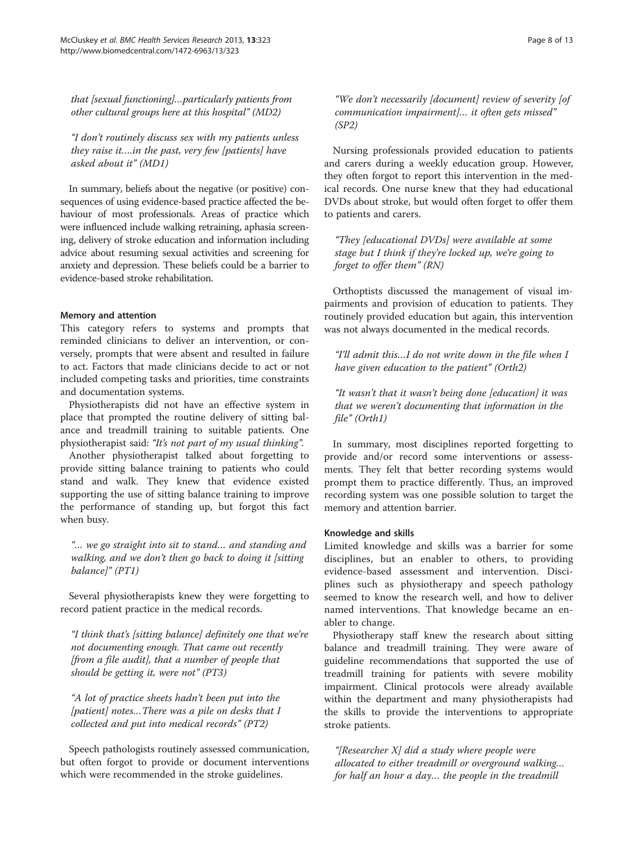that [sexual functioning]…particularly patients from other cultural groups here at this hospital" (MD2)

"I don't routinely discuss sex with my patients unless they raise it….in the past, very few [patients] have asked about it" (MD1)

In summary, beliefs about the negative (or positive) consequences of using evidence-based practice affected the behaviour of most professionals. Areas of practice which were influenced include walking retraining, aphasia screening, delivery of stroke education and information including advice about resuming sexual activities and screening for anxiety and depression. These beliefs could be a barrier to evidence-based stroke rehabilitation.

#### Memory and attention

This category refers to systems and prompts that reminded clinicians to deliver an intervention, or conversely, prompts that were absent and resulted in failure to act. Factors that made clinicians decide to act or not included competing tasks and priorities, time constraints and documentation systems.

Physiotherapists did not have an effective system in place that prompted the routine delivery of sitting balance and treadmill training to suitable patients. One physiotherapist said: "It's not part of my usual thinking".

Another physiotherapist talked about forgetting to provide sitting balance training to patients who could stand and walk. They knew that evidence existed supporting the use of sitting balance training to improve the performance of standing up, but forgot this fact when busy.

"… we go straight into sit to stand… and standing and walking, and we don't then go back to doing it [sitting] balance]" (PT1)

Several physiotherapists knew they were forgetting to record patient practice in the medical records.

"I think that's [sitting balance] definitely one that we're not documenting enough. That came out recently [from a file audit], that a number of people that should be getting it, were not" (PT3)

"A lot of practice sheets hadn't been put into the [patient] notes...There was a pile on desks that I collected and put into medical records" (PT2)

Speech pathologists routinely assessed communication, but often forgot to provide or document interventions which were recommended in the stroke guidelines.

"We don't necessarily [document] review of severity [of communication impairment]… it often gets missed" (SP2)

Nursing professionals provided education to patients and carers during a weekly education group. However, they often forgot to report this intervention in the medical records. One nurse knew that they had educational DVDs about stroke, but would often forget to offer them to patients and carers.

"They [educational DVDs] were available at some stage but I think if they're locked up, we're going to forget to offer them" (RN)

Orthoptists discussed the management of visual impairments and provision of education to patients. They routinely provided education but again, this intervention was not always documented in the medical records.

"I'll admit this…I do not write down in the file when I have given education to the patient" (Orth2)

"It wasn't that it wasn't being done [education] it was that we weren't documenting that information in the file" (Orth1)

In summary, most disciplines reported forgetting to provide and/or record some interventions or assessments. They felt that better recording systems would prompt them to practice differently. Thus, an improved recording system was one possible solution to target the memory and attention barrier.

#### Knowledge and skills

Limited knowledge and skills was a barrier for some disciplines, but an enabler to others, to providing evidence-based assessment and intervention. Disciplines such as physiotherapy and speech pathology seemed to know the research well, and how to deliver named interventions. That knowledge became an enabler to change.

Physiotherapy staff knew the research about sitting balance and treadmill training. They were aware of guideline recommendations that supported the use of treadmill training for patients with severe mobility impairment. Clinical protocols were already available within the department and many physiotherapists had the skills to provide the interventions to appropriate stroke patients.

"[Researcher X] did a study where people were allocated to either treadmill or overground walking… for half an hour a day… the people in the treadmill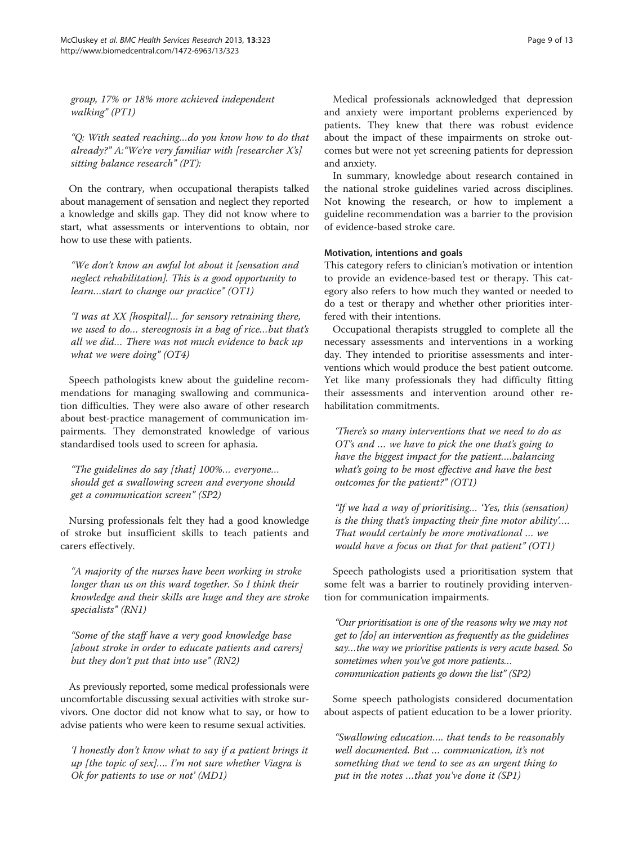group, 17% or 18% more achieved independent walking" (PT1)

"Q: With seated reaching…do you know how to do that already?" A:"We're very familiar with [researcher X's] sitting balance research" (PT):

On the contrary, when occupational therapists talked about management of sensation and neglect they reported a knowledge and skills gap. They did not know where to start, what assessments or interventions to obtain, nor how to use these with patients.

"We don't know an awful lot about it [sensation and neglect rehabilitation]. This is a good opportunity to learn…start to change our practice" (OT1)

"I was at XX [hospital]… for sensory retraining there, we used to do… stereognosis in a bag of rice…but that's all we did… There was not much evidence to back up what we were doing" (OT4)

Speech pathologists knew about the guideline recommendations for managing swallowing and communication difficulties. They were also aware of other research about best-practice management of communication impairments. They demonstrated knowledge of various standardised tools used to screen for aphasia.

"The guidelines do say [that] 100%… everyone… should get a swallowing screen and everyone should get a communication screen" (SP2)

Nursing professionals felt they had a good knowledge of stroke but insufficient skills to teach patients and carers effectively.

"A majority of the nurses have been working in stroke longer than us on this ward together. So I think their knowledge and their skills are huge and they are stroke specialists" (RN1)

"Some of the staff have a very good knowledge base [about stroke in order to educate patients and carers] but they don't put that into use"  $(RN2)$ 

As previously reported, some medical professionals were uncomfortable discussing sexual activities with stroke survivors. One doctor did not know what to say, or how to advise patients who were keen to resume sexual activities.

'I honestly don't know what to say if a patient brings it up [the topic of sex]…. I'm not sure whether Viagra is Ok for patients to use or not' (MD1)

Medical professionals acknowledged that depression and anxiety were important problems experienced by patients. They knew that there was robust evidence about the impact of these impairments on stroke outcomes but were not yet screening patients for depression and anxiety.

In summary, knowledge about research contained in the national stroke guidelines varied across disciplines. Not knowing the research, or how to implement a guideline recommendation was a barrier to the provision of evidence-based stroke care.

#### Motivation, intentions and goals

This category refers to clinician's motivation or intention to provide an evidence-based test or therapy. This category also refers to how much they wanted or needed to do a test or therapy and whether other priorities interfered with their intentions.

Occupational therapists struggled to complete all the necessary assessments and interventions in a working day. They intended to prioritise assessments and interventions which would produce the best patient outcome. Yet like many professionals they had difficulty fitting their assessments and intervention around other rehabilitation commitments.

'There's so many interventions that we need to do as OT's and … we have to pick the one that's going to have the biggest impact for the patient….balancing what's going to be most effective and have the best outcomes for the patient?" (OT1)

"If we had a way of prioritising… 'Yes, this (sensation) is the thing that's impacting their fine motor ability'…. That would certainly be more motivational … we would have a focus on that for that patient" (OT1)

Speech pathologists used a prioritisation system that some felt was a barrier to routinely providing intervention for communication impairments.

"Our prioritisation is one of the reasons why we may not get to [do] an intervention as frequently as the guidelines say…the way we prioritise patients is very acute based. So sometimes when you've got more patients... communication patients go down the list" (SP2)

Some speech pathologists considered documentation about aspects of patient education to be a lower priority.

"Swallowing education…. that tends to be reasonably well documented. But … communication, it's not something that we tend to see as an urgent thing to put in the notes …that you've done it (SP1)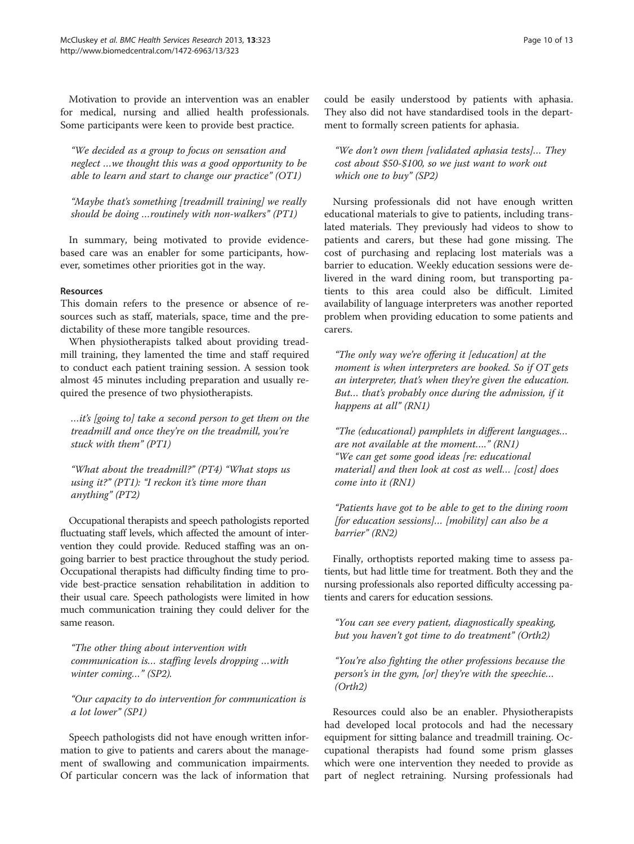Motivation to provide an intervention was an enabler for medical, nursing and allied health professionals. Some participants were keen to provide best practice.

"We decided as a group to focus on sensation and neglect …we thought this was a good opportunity to be able to learn and start to change our practice" (OT1)

"Maybe that's something [treadmill training] we really should be doing …routinely with non-walkers" (PT1)

In summary, being motivated to provide evidencebased care was an enabler for some participants, however, sometimes other priorities got in the way.

#### Resources

This domain refers to the presence or absence of resources such as staff, materials, space, time and the predictability of these more tangible resources.

When physiotherapists talked about providing treadmill training, they lamented the time and staff required to conduct each patient training session. A session took almost 45 minutes including preparation and usually required the presence of two physiotherapists.

…it's [going to] take a second person to get them on the treadmill and once they're on the treadmill, you're stuck with them" (PT1)

"What about the treadmill?" (PT4) "What stops us using it?" (PT1): "I reckon it's time more than anything" (PT2)

Occupational therapists and speech pathologists reported fluctuating staff levels, which affected the amount of intervention they could provide. Reduced staffing was an ongoing barrier to best practice throughout the study period. Occupational therapists had difficulty finding time to provide best-practice sensation rehabilitation in addition to their usual care. Speech pathologists were limited in how much communication training they could deliver for the same reason.

"The other thing about intervention with communication is… staffing levels dropping …with winter coming…" (SP2).

"Our capacity to do intervention for communication is a lot lower" (SP1)

Speech pathologists did not have enough written information to give to patients and carers about the management of swallowing and communication impairments. Of particular concern was the lack of information that could be easily understood by patients with aphasia. They also did not have standardised tools in the department to formally screen patients for aphasia.

"We don't own them [validated aphasia tests]… They cost about \$50-\$100, so we just want to work out which one to buy" (SP2)

Nursing professionals did not have enough written educational materials to give to patients, including translated materials. They previously had videos to show to patients and carers, but these had gone missing. The cost of purchasing and replacing lost materials was a barrier to education. Weekly education sessions were delivered in the ward dining room, but transporting patients to this area could also be difficult. Limited availability of language interpreters was another reported problem when providing education to some patients and carers.

"The only way we're offering it [education] at the moment is when interpreters are booked. So if OT gets an interpreter, that's when they're given the education. But… that's probably once during the admission, if it happens at all" (RN1)

"The (educational) pamphlets in different languages… are not available at the moment…." (RN1) "We can get some good ideas [re: educational material] and then look at cost as well… [cost] does come into it (RN1)

"Patients have got to be able to get to the dining room  $[for education sessions]... [mobility] can also be a$ barrier" (RN2)

Finally, orthoptists reported making time to assess patients, but had little time for treatment. Both they and the nursing professionals also reported difficulty accessing patients and carers for education sessions.

"You can see every patient, diagnostically speaking, but you haven't got time to do treatment" (Orth2)

"You're also fighting the other professions because the person's in the gym, [or] they're with the speechie… (Orth2)

Resources could also be an enabler. Physiotherapists had developed local protocols and had the necessary equipment for sitting balance and treadmill training. Occupational therapists had found some prism glasses which were one intervention they needed to provide as part of neglect retraining. Nursing professionals had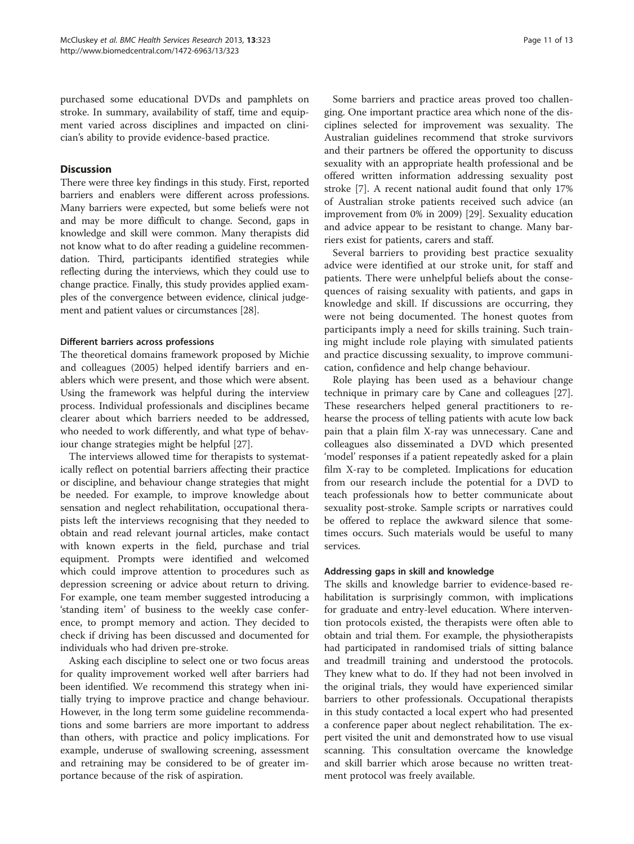purchased some educational DVDs and pamphlets on stroke. In summary, availability of staff, time and equipment varied across disciplines and impacted on clinician's ability to provide evidence-based practice.

# **Discussion**

There were three key findings in this study. First, reported barriers and enablers were different across professions. Many barriers were expected, but some beliefs were not and may be more difficult to change. Second, gaps in knowledge and skill were common. Many therapists did not know what to do after reading a guideline recommendation. Third, participants identified strategies while reflecting during the interviews, which they could use to change practice. Finally, this study provides applied examples of the convergence between evidence, clinical judgement and patient values or circumstances [[28](#page-12-0)].

# Different barriers across professions

The theoretical domains framework proposed by Michie and colleagues (2005) helped identify barriers and enablers which were present, and those which were absent. Using the framework was helpful during the interview process. Individual professionals and disciplines became clearer about which barriers needed to be addressed, who needed to work differently, and what type of behaviour change strategies might be helpful [\[27](#page-12-0)].

The interviews allowed time for therapists to systematically reflect on potential barriers affecting their practice or discipline, and behaviour change strategies that might be needed. For example, to improve knowledge about sensation and neglect rehabilitation, occupational therapists left the interviews recognising that they needed to obtain and read relevant journal articles, make contact with known experts in the field, purchase and trial equipment. Prompts were identified and welcomed which could improve attention to procedures such as depression screening or advice about return to driving. For example, one team member suggested introducing a 'standing item' of business to the weekly case conference, to prompt memory and action. They decided to check if driving has been discussed and documented for individuals who had driven pre-stroke.

Asking each discipline to select one or two focus areas for quality improvement worked well after barriers had been identified. We recommend this strategy when initially trying to improve practice and change behaviour. However, in the long term some guideline recommendations and some barriers are more important to address than others, with practice and policy implications. For example, underuse of swallowing screening, assessment and retraining may be considered to be of greater importance because of the risk of aspiration.

Some barriers and practice areas proved too challenging. One important practice area which none of the disciplines selected for improvement was sexuality. The Australian guidelines recommend that stroke survivors and their partners be offered the opportunity to discuss sexuality with an appropriate health professional and be offered written information addressing sexuality post stroke [[7\]](#page-12-0). A recent national audit found that only 17% of Australian stroke patients received such advice (an improvement from 0% in 2009) [[29](#page-12-0)]. Sexuality education and advice appear to be resistant to change. Many barriers exist for patients, carers and staff.

Several barriers to providing best practice sexuality advice were identified at our stroke unit, for staff and patients. There were unhelpful beliefs about the consequences of raising sexuality with patients, and gaps in knowledge and skill. If discussions are occurring, they were not being documented. The honest quotes from participants imply a need for skills training. Such training might include role playing with simulated patients and practice discussing sexuality, to improve communication, confidence and help change behaviour.

Role playing has been used as a behaviour change technique in primary care by Cane and colleagues [\[27](#page-12-0)]. These researchers helped general practitioners to rehearse the process of telling patients with acute low back pain that a plain film X-ray was unnecessary. Cane and colleagues also disseminated a DVD which presented 'model' responses if a patient repeatedly asked for a plain film X-ray to be completed. Implications for education from our research include the potential for a DVD to teach professionals how to better communicate about sexuality post-stroke. Sample scripts or narratives could be offered to replace the awkward silence that sometimes occurs. Such materials would be useful to many services.

# Addressing gaps in skill and knowledge

The skills and knowledge barrier to evidence-based rehabilitation is surprisingly common, with implications for graduate and entry-level education. Where intervention protocols existed, the therapists were often able to obtain and trial them. For example, the physiotherapists had participated in randomised trials of sitting balance and treadmill training and understood the protocols. They knew what to do. If they had not been involved in the original trials, they would have experienced similar barriers to other professionals. Occupational therapists in this study contacted a local expert who had presented a conference paper about neglect rehabilitation. The expert visited the unit and demonstrated how to use visual scanning. This consultation overcame the knowledge and skill barrier which arose because no written treatment protocol was freely available.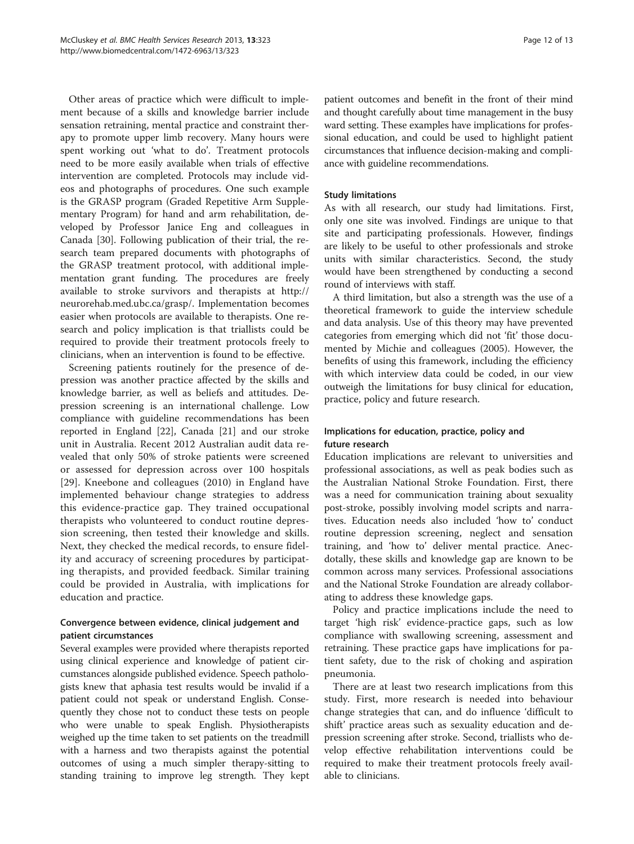Other areas of practice which were difficult to implement because of a skills and knowledge barrier include sensation retraining, mental practice and constraint therapy to promote upper limb recovery. Many hours were spent working out 'what to do'. Treatment protocols need to be more easily available when trials of effective intervention are completed. Protocols may include videos and photographs of procedures. One such example is the GRASP program (Graded Repetitive Arm Supplementary Program) for hand and arm rehabilitation, developed by Professor Janice Eng and colleagues in Canada [[30\]](#page-12-0). Following publication of their trial, the research team prepared documents with photographs of the GRASP treatment protocol, with additional implementation grant funding. The procedures are freely available to stroke survivors and therapists at [http://](http://neurorehab.med.ubc.ca/grasp/) [neurorehab.med.ubc.ca/grasp/.](http://neurorehab.med.ubc.ca/grasp/) Implementation becomes easier when protocols are available to therapists. One research and policy implication is that triallists could be required to provide their treatment protocols freely to clinicians, when an intervention is found to be effective.

Screening patients routinely for the presence of depression was another practice affected by the skills and knowledge barrier, as well as beliefs and attitudes. Depression screening is an international challenge. Low compliance with guideline recommendations has been reported in England [\[22](#page-12-0)], Canada [[21\]](#page-12-0) and our stroke unit in Australia. Recent 2012 Australian audit data revealed that only 50% of stroke patients were screened or assessed for depression across over 100 hospitals [[29\]](#page-12-0). Kneebone and colleagues (2010) in England have implemented behaviour change strategies to address this evidence-practice gap. They trained occupational therapists who volunteered to conduct routine depression screening, then tested their knowledge and skills. Next, they checked the medical records, to ensure fidelity and accuracy of screening procedures by participating therapists, and provided feedback. Similar training could be provided in Australia, with implications for education and practice.

# Convergence between evidence, clinical judgement and patient circumstances

Several examples were provided where therapists reported using clinical experience and knowledge of patient circumstances alongside published evidence. Speech pathologists knew that aphasia test results would be invalid if a patient could not speak or understand English. Consequently they chose not to conduct these tests on people who were unable to speak English. Physiotherapists weighed up the time taken to set patients on the treadmill with a harness and two therapists against the potential outcomes of using a much simpler therapy-sitting to standing training to improve leg strength. They kept

patient outcomes and benefit in the front of their mind and thought carefully about time management in the busy ward setting. These examples have implications for professional education, and could be used to highlight patient circumstances that influence decision-making and compliance with guideline recommendations.

# Study limitations

As with all research, our study had limitations. First, only one site was involved. Findings are unique to that site and participating professionals. However, findings are likely to be useful to other professionals and stroke units with similar characteristics. Second, the study would have been strengthened by conducting a second round of interviews with staff.

A third limitation, but also a strength was the use of a theoretical framework to guide the interview schedule and data analysis. Use of this theory may have prevented categories from emerging which did not 'fit' those documented by Michie and colleagues (2005). However, the benefits of using this framework, including the efficiency with which interview data could be coded, in our view outweigh the limitations for busy clinical for education, practice, policy and future research.

# Implications for education, practice, policy and future research

Education implications are relevant to universities and professional associations, as well as peak bodies such as the Australian National Stroke Foundation. First, there was a need for communication training about sexuality post-stroke, possibly involving model scripts and narratives. Education needs also included 'how to' conduct routine depression screening, neglect and sensation training, and 'how to' deliver mental practice. Anecdotally, these skills and knowledge gap are known to be common across many services. Professional associations and the National Stroke Foundation are already collaborating to address these knowledge gaps.

Policy and practice implications include the need to target 'high risk' evidence-practice gaps, such as low compliance with swallowing screening, assessment and retraining. These practice gaps have implications for patient safety, due to the risk of choking and aspiration pneumonia.

There are at least two research implications from this study. First, more research is needed into behaviour change strategies that can, and do influence 'difficult to shift' practice areas such as sexuality education and depression screening after stroke. Second, triallists who develop effective rehabilitation interventions could be required to make their treatment protocols freely available to clinicians.